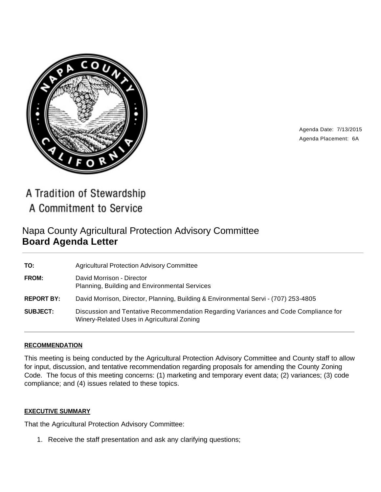

Agenda Date: 7/13/2015 Agenda Placement: 6A

A Tradition of Stewardship A Commitment to Service

# Napa County Agricultural Protection Advisory Committee **Board Agenda Letter**

| TO:               | <b>Agricultural Protection Advisory Committee</b>                                                                                 |
|-------------------|-----------------------------------------------------------------------------------------------------------------------------------|
| <b>FROM:</b>      | David Morrison - Director<br>Planning, Building and Environmental Services                                                        |
| <b>REPORT BY:</b> | David Morrison, Director, Planning, Building & Environmental Servi - (707) 253-4805                                               |
| <b>SUBJECT:</b>   | Discussion and Tentative Recommendation Regarding Variances and Code Compliance for<br>Winery-Related Uses in Agricultural Zoning |

#### **RECOMMENDATION**

This meeting is being conducted by the Agricultural Protection Advisory Committee and County staff to allow for input, discussion, and tentative recommendation regarding proposals for amending the County Zoning Code. The focus of this meeting concerns: (1) marketing and temporary event data; (2) variances; (3) code compliance; and (4) issues related to these topics.

#### **EXECUTIVE SUMMARY**

That the Agricultural Protection Advisory Committee:

1. Receive the staff presentation and ask any clarifying questions;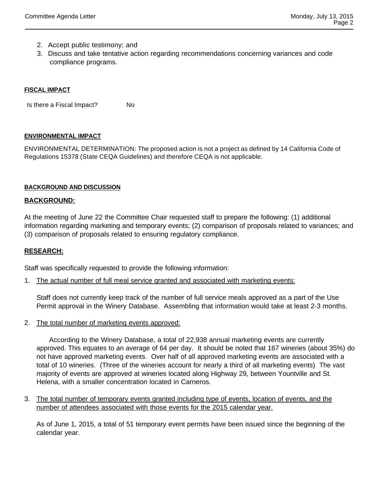- 2. Accept public testimony; and
- 3. Discuss and take tentative action regarding recommendations concerning variances and code compliance programs.

#### **FISCAL IMPACT**

Is there a Fiscal Impact? No

#### **ENVIRONMENTAL IMPACT**

ENVIRONMENTAL DETERMINATION: The proposed action is not a project as defined by 14 California Code of Regulations 15378 (State CEQA Guidelines) and therefore CEQA is not applicable.

#### **BACKGROUND AND DISCUSSION**

#### **BACKGROUND:**

At the meeting of June 22 the Committee Chair requested staff to prepare the following: (1) additional information regarding marketing and temporary events; (2) comparison of proposals related to variances; and (3) comparison of proposals related to ensuring regulatory compliance.

#### **RESEARCH:**

Staff was specifically requested to provide the following information:

1. The actual number of full meal service granted and associated with marketing events:

Staff does not currently keep track of the number of full service meals approved as a part of the Use Permit approval in the Winery Database. Assembling that information would take at least 2-3 months.

2. The total number of marketing events approved:

 According to the Winery Database, a total of 22,938 annual marketing events are currently approved. This equates to an average of 64 per day. It should be noted that 167 wineries (about 35%) do not have approved marketing events. Over half of all approved marketing events are associated with a total of 10 wineries. (Three of the wineries account for nearly a third of all marketing events) The vast majority of events are approved at wineries located along Highway 29, between Yountville and St. Helena, with a smaller concentration located in Carneros.

3. The total number of temporary events granted including type of events, location of events, and the number of attendees associated with those events for the 2015 calendar year.

As of June 1, 2015, a total of 51 temporary event permits have been issued since the beginning of the calendar year.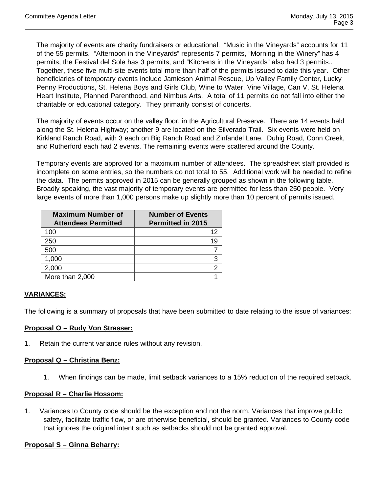The majority of events are charity fundraisers or educational. "Music in the Vineyards" accounts for 11 of the 55 permits. "Afternoon in the Vineyards" represents 7 permits, "Morning in the Winery" has 4 permits, the Festival del Sole has 3 permits, and "Kitchens in the Vineyards" also had 3 permits.. Together, these five multi-site events total more than half of the permits issued to date this year. Other beneficiaries of temporary events include Jamieson Animal Rescue, Up Valley Family Center, Lucky Penny Productions, St. Helena Boys and Girls Club, Wine to Water, Vine Village, Can V, St. Helena Heart Institute, Planned Parenthood, and Nimbus Arts. A total of 11 permits do not fall into either the charitable or educational category. They primarily consist of concerts.

The majority of events occur on the valley floor, in the Agricultural Preserve. There are 14 events held along the St. Helena Highway; another 9 are located on the Silverado Trail. Six events were held on Kirkland Ranch Road, with 3 each on Big Ranch Road and Zinfandel Lane. Duhig Road, Conn Creek, and Rutherford each had 2 events. The remaining events were scattered around the County.

Temporary events are approved for a maximum number of attendees. The spreadsheet staff provided is incomplete on some entries, so the numbers do not total to 55. Additional work will be needed to refine the data. The permits approved in 2015 can be generally grouped as shown in the following table. Broadly speaking, the vast majority of temporary events are permitted for less than 250 people. Very large events of more than 1,000 persons make up slightly more than 10 percent of permits issued.

| <b>Maximum Number of</b><br><b>Attendees Permitted</b> | <b>Number of Events</b><br><b>Permitted in 2015</b> |
|--------------------------------------------------------|-----------------------------------------------------|
| 100                                                    | 12                                                  |
| 250                                                    |                                                     |
| 500                                                    |                                                     |
| 1,000                                                  |                                                     |
| 2,000                                                  |                                                     |
| More than 2,000                                        |                                                     |

# **VARIANCES:**

The following is a summary of proposals that have been submitted to date relating to the issue of variances:

#### **Proposal O – Rudy Von Strasser:**

1. Retain the current variance rules without any revision.

### **Proposal Q – Christina Benz:**

1. When findings can be made, limit setback variances to a 15% reduction of the required setback.

#### **Proposal R – Charlie Hossom:**

1. Variances to County code should be the exception and not the norm. Variances that improve public safety, facilitate traffic flow, or are otherwise beneficial, should be granted. Variances to County code that ignores the original intent such as setbacks should not be granted approval.

# **Proposal S – Ginna Beharry:**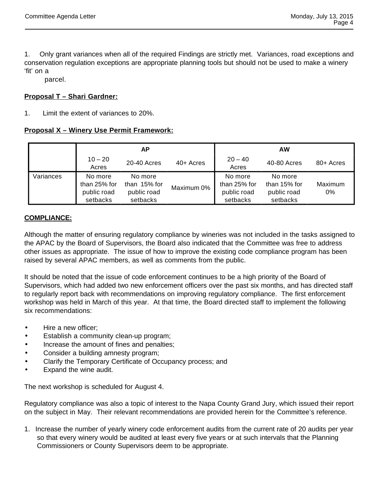1. Only grant variances when all of the required Findings are strictly met. Variances, road exceptions and conservation regulation exceptions are appropriate planning tools but should not be used to make a winery 'fit' on a

parcel.

# **Proposal T – Shari Gardner:**

1. Limit the extent of variances to 20%.

#### **Proposal X – Winery Use Permit Framework:**

|           | АP                                                 |                                                    |             | <b>AW</b>                                          |                                                      |                  |
|-----------|----------------------------------------------------|----------------------------------------------------|-------------|----------------------------------------------------|------------------------------------------------------|------------------|
|           | $10 - 20$<br>Acres                                 | 20-40 Acres                                        | $40+$ Acres | $20 - 40$<br>Acres                                 | 40-80 Acres                                          | 80+ Acres        |
| Variances | No more<br>than 25% for<br>public road<br>setbacks | No more<br>than 15% for<br>public road<br>setbacks | Maximum 0%  | No more<br>than 25% for<br>public road<br>setbacks | No more<br>than $15%$ for<br>public road<br>setbacks | Maximum<br>$0\%$ |

#### **COMPLIANCE:**

Although the matter of ensuring regulatory compliance by wineries was not included in the tasks assigned to the APAC by the Board of Supervisors, the Board also indicated that the Committee was free to address other issues as appropriate. The issue of how to improve the existing code compliance program has been raised by several APAC members, as well as comments from the public.

It should be noted that the issue of code enforcement continues to be a high priority of the Board of Supervisors, which had added two new enforcement officers over the past six months, and has directed staff to regularly report back with recommendations on improving regulatory compliance. The first enforcement workshop was held in March of this year. At that time, the Board directed staff to implement the following six recommendations:

- Hire a new officer;
	- Establish a community clean-up program;
	- Increase the amount of fines and penalties;
	- Consider a building amnesty program;
	- Clarify the Temporary Certificate of Occupancy process; and
	- Expand the wine audit.

The next workshop is scheduled for August 4.

Regulatory compliance was also a topic of interest to the Napa County Grand Jury, which issued their report on the subject in May. Their relevant recommendations are provided herein for the Committee's reference.

1. Increase the number of yearly winery code enforcement audits from the current rate of 20 audits per year so that every winery would be audited at least every five years or at such intervals that the Planning Commissioners or County Supervisors deem to be appropriate.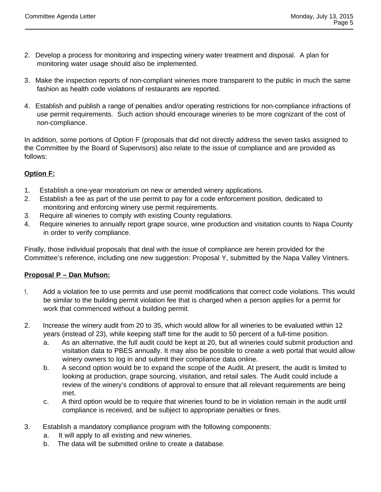- 2. Develop a process for monitoring and inspecting winery water treatment and disposal. A plan for monitoring water usage should also be implemented.
- 3. Make the inspection reports of non-compliant wineries more transparent to the public in much the same fashion as health code violations of restaurants are reported.
- 4. Establish and publish a range of penalties and/or operating restrictions for non-compliance infractions of use permit requirements. Such action should encourage wineries to be more cognizant of the cost of non-compliance.

In addition, some portions of Option F (proposals that did not directly address the seven tasks assigned to the Committee by the Board of Supervisors) also relate to the issue of compliance and are provided as follows:

# **Option F:**

- 1. Establish a one-year moratorium on new or amended winery applications.
- 2. Establish a fee as part of the use permit to pay for a code enforcement position, dedicated to monitoring and enforcing winery use permit requirements.
- 3. Require all wineries to comply with existing County regulations.
- 4. Require wineries to annually report grape source, wine production and visitation counts to Napa County in order to verify compliance.

Finally, those individual proposals that deal with the issue of compliance are herein provided for the Committee's reference, including one new suggestion: Proposal Y, submitted by the Napa Valley Vintners.

# **Proposal P – Dan Mufson:**

- !. Add a violation fee to use permits and use permit modifications that correct code violations. This would be similar to the building permit violation fee that is charged when a person applies for a permit for work that commenced without a building permit.
- 2. Increase the winery audit from 20 to 35, which would allow for all wineries to be evaluated within 12 years (instead of 23), while keeping staff time for the audit to 50 percent of a full-time position.
	- a. As an alternative, the full audit could be kept at 20, but all wineries could submit production and visitation data to PBES annually. It may also be possible to create a web portal that would allow winery owners to log in and submit their compliance data online.
	- b. A second option would be to expand the scope of the Audit. At present, the audit is limited to looking at production, grape sourcing, visitation, and retail sales. The Audit could include a review of the winery's conditions of approval to ensure that all relevant requirements are being met.
	- c. A third option would be to require that wineries found to be in violation remain in the audit until compliance is received, and be subject to appropriate penalties or fines.
- 3. Establish a mandatory compliance program with the following components:
	- a. It will apply to all existing and new wineries.
	- b. The data will be submitted online to create a database.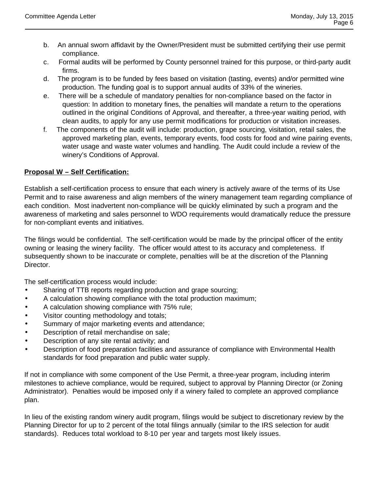- b. An annual sworn affidavit by the Owner/President must be submitted certifying their use permit compliance.
- c. Formal audits will be performed by County personnel trained for this purpose, or third-party audit firms.
- d. The program is to be funded by fees based on visitation (tasting, events) and/or permitted wine production. The funding goal is to support annual audits of 33% of the wineries.
- e. There will be a schedule of mandatory penalties for non-compliance based on the factor in question: In addition to monetary fines, the penalties will mandate a return to the operations outlined in the original Conditions of Approval, and thereafter, a three-year waiting period, with clean audits, to apply for any use permit modifications for production or visitation increases.
- f. The components of the audit will include: production, grape sourcing, visitation, retail sales, the approved marketing plan, events, temporary events, food costs for food and wine pairing events, water usage and waste water volumes and handling. The Audit could include a review of the winery's Conditions of Approval.

# **Proposal W – Self Certification:**

Establish a self-certification process to ensure that each winery is actively aware of the terms of its Use Permit and to raise awareness and align members of the winery management team regarding compliance of each condition. Most inadvertent non-compliance will be quickly eliminated by such a program and the awareness of marketing and sales personnel to WDO requirements would dramatically reduce the pressure for non-compliant events and initiatives.

The filings would be confidential. The self-certification would be made by the principal officer of the entity owning or leasing the winery facility. The officer would attest to its accuracy and completeness. If subsequently shown to be inaccurate or complete, penalties will be at the discretion of the Planning Director.

The self-certification process would include:

- Sharing of TTB reports regarding production and grape sourcing;
- A calculation showing compliance with the total production maximum;
- A calculation showing compliance with 75% rule;
- Visitor counting methodology and totals;
- Summary of major marketing events and attendance;
- Description of retail merchandise on sale;
- Description of any site rental activity; and
- Description of food preparation facilities and assurance of compliance with Environmental Health standards for food preparation and public water supply.

If not in compliance with some component of the Use Permit, a three-year program, including interim milestones to achieve compliance, would be required, subject to approval by Planning Director (or Zoning Administrator). Penalties would be imposed only if a winery failed to complete an approved compliance plan.

In lieu of the existing random winery audit program, filings would be subject to discretionary review by the Planning Director for up to 2 percent of the total filings annually (similar to the IRS selection for audit standards). Reduces total workload to 8-10 per year and targets most likely issues.